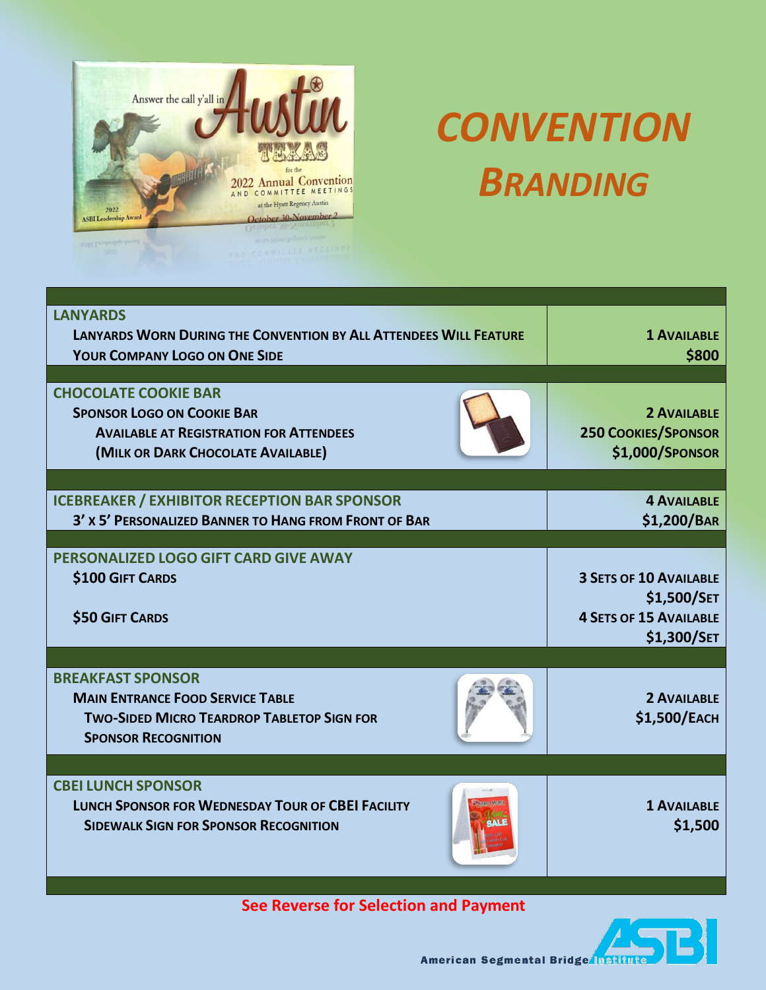

## *CONVENTION BRANDING*

| <b>LANYARDS</b><br><b>LANYARDS WORN DURING THE CONVENTION BY ALL ATTENDEES WILL FEATURE</b><br><b>YOUR COMPANY LOGO ON ONE SIDE</b>                      | <b>1 AVAILABLE</b><br>\$800                                                                  |
|----------------------------------------------------------------------------------------------------------------------------------------------------------|----------------------------------------------------------------------------------------------|
| <b>CHOCOLATE COOKIE BAR</b><br><b>SPONSOR LOGO ON COOKIE BAR</b><br><b>AVAILABLE AT REGISTRATION FOR ATTENDEES</b><br>(MILK OR DARK CHOCOLATE AVAILABLE) | <b>2 AVAILABLE</b><br><b>250 COOKIES/SPONSOR</b><br>\$1,000/SPONSOR                          |
| <b>ICEBREAKER / EXHIBITOR RECEPTION BAR SPONSOR</b><br>3' x 5' PERSONALIZED BANNER TO HANG FROM FRONT OF BAR                                             | <b>4 AVAILABLE</b><br>\$1,200/BAR                                                            |
| PERSONALIZED LOGO GIFT CARD GIVE AWAY<br><b>\$100 GIFT CARDS</b><br><b>\$50 GIFT CARDS</b>                                                               | <b>3 SETS OF 10 AVAILABLE</b><br>\$1,500/SET<br><b>4 SETS OF 15 AVAILABLE</b><br>\$1,300/SET |
| <b>BREAKFAST SPONSOR</b><br><b>MAIN ENTRANCE FOOD SERVICE TABLE</b><br><b>TWO-SIDED MICRO TEARDROP TABLETOP SIGN FOR</b><br><b>SPONSOR RECOGNITION</b>   | <b>2 AVAILABLE</b><br>\$1,500/EACH                                                           |
|                                                                                                                                                          |                                                                                              |
| <b>CBEI LUNCH SPONSOR</b><br><b>LUNCH SPONSOR FOR WEDNESDAY TOUR OF CBEI FACILITY</b><br><b>SIDEWALK SIGN FOR SPONSOR RECOGNITION</b>                    | <b>1 AVAILABLE</b><br>\$1,500                                                                |

**See Reverse for Selection and Payment** 



American Segmental Bridge Institute